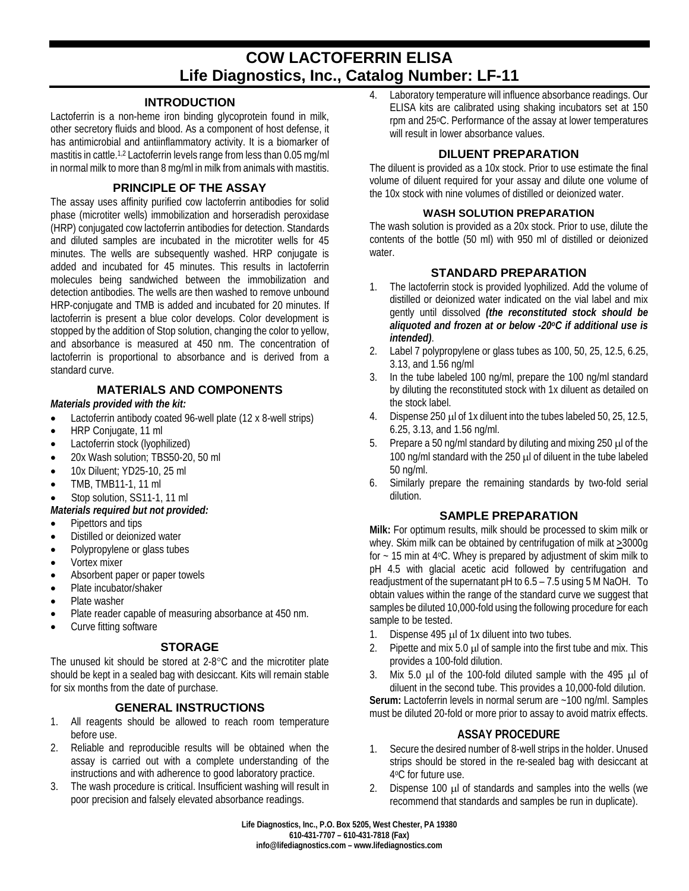# **COW LACTOFERRIN ELISA Life Diagnostics, Inc., Catalog Number: LF-11**

## **INTRODUCTION**

Lactoferrin is a non-heme iron binding glycoprotein found in milk, other secretory fluids and blood. As a component of host defense, it has antimicrobial and antiinflammatory activity. It is a biomarker of mastitis in cattle.<sup>1,2</sup> Lactoferrin levels range from less than 0.05 mg/ml in normal milk to more than 8 mg/ml in milk from animals with mastitis.

# **PRINCIPLE OF THE ASSAY**

The assay uses affinity purified cow lactoferrin antibodies for solid phase (microtiter wells) immobilization and horseradish peroxidase (HRP) conjugated cow lactoferrin antibodies for detection. Standards and diluted samples are incubated in the microtiter wells for 45 minutes. The wells are subsequently washed. HRP conjugate is added and incubated for 45 minutes. This results in lactoferrin molecules being sandwiched between the immobilization and detection antibodies. The wells are then washed to remove unbound HRP-conjugate and TMB is added and incubated for 20 minutes. If lactoferrin is present a blue color develops. Color development is stopped by the addition of Stop solution, changing the color to yellow, and absorbance is measured at 450 nm. The concentration of lactoferrin is proportional to absorbance and is derived from a standard curve.

# **MATERIALS AND COMPONENTS**

*Materials provided with the kit:*

- Lactoferrin antibody coated 96-well plate (12 x 8-well strips)
- HRP Conjugate, 11 ml
- Lactoferrin stock (lyophilized)
- 20x Wash solution; TBS50-20, 50 ml
- 10x Diluent; YD25-10, 25 ml
- TMB, TMB11-1, 11 ml
- Stop solution, SS11-1, 11 ml

## *Materials required but not provided:*

- Pipettors and tips
- Distilled or deionized water
- Polypropylene or glass tubes
- Vortex mixer
- Absorbent paper or paper towels
- Plate incubator/shaker
- Plate washer
- Plate reader capable of measuring absorbance at 450 nm.
- Curve fitting software

## **STORAGE**

The unused kit should be stored at 2-8°C and the microtiter plate should be kept in a sealed bag with desiccant. Kits will remain stable for six months from the date of purchase.

# **GENERAL INSTRUCTIONS**

- 1. All reagents should be allowed to reach room temperature before use.
- 2. Reliable and reproducible results will be obtained when the assay is carried out with a complete understanding of the instructions and with adherence to good laboratory practice.
- 3. The wash procedure is critical. Insufficient washing will result in poor precision and falsely elevated absorbance readings.

4. Laboratory temperature will influence absorbance readings. Our ELISA kits are calibrated using shaking incubators set at 150 rpm and 25oC. Performance of the assay at lower temperatures will result in lower absorbance values.

# **DILUENT PREPARATION**

The diluent is provided as a 10x stock. Prior to use estimate the final volume of diluent required for your assay and dilute one volume of the 10x stock with nine volumes of distilled or deionized water.

#### **WASH SOLUTION PREPARATION**

The wash solution is provided as a 20x stock. Prior to use, dilute the contents of the bottle (50 ml) with 950 ml of distilled or deionized water.

## **STANDARD PREPARATION**

- 1. The lactoferrin stock is provided lyophilized. Add the volume of distilled or deionized water indicated on the vial label and mix gently until dissolved *(the reconstituted stock should be aliquoted and frozen at or below -20oC if additional use is intended)*.
- 2. Label 7 polypropylene or glass tubes as 100, 50, 25, 12.5, 6.25, 3.13, and 1.56 ng/ml
- 3. In the tube labeled 100 ng/ml, prepare the 100 ng/ml standard by diluting the reconstituted stock with 1x diluent as detailed on the stock label.
- 4. Dispense 250 µl of 1x diluent into the tubes labeled 50, 25, 12.5, 6.25, 3.13, and 1.56 ng/ml.
- 5. Prepare a 50 ng/ml standard by diluting and mixing 250 µl of the 100 ng/ml standard with the 250 µl of diluent in the tube labeled 50 ng/ml.
- 6. Similarly prepare the remaining standards by two-fold serial dilution.

## **SAMPLE PREPARATION**

**Milk:** For optimum results, milk should be processed to skim milk or whey. Skim milk can be obtained by centrifugation of milk at >3000g for  $\sim$  15 min at 4°C. Whey is prepared by adjustment of skim milk to pH 4.5 with glacial acetic acid followed by centrifugation and readjustment of the supernatant pH to 6.5 – 7.5 using 5 M NaOH. To obtain values within the range of the standard curve we suggest that samples be diluted 10,000-fold using the following procedure for each sample to be tested.

- 1. Dispense  $495 \mu$  of 1x diluent into two tubes.
- 2. Pipette and mix  $5.0 \mu$  of sample into the first tube and mix. This provides a 100-fold dilution.
- 3. Mix 5.0  $\mu$ l of the 100-fold diluted sample with the 495  $\mu$ l of diluent in the second tube. This provides a 10,000-fold dilution.

**Serum:** Lactoferrin levels in normal serum are ~100 ng/ml. Samples must be diluted 20-fold or more prior to assay to avoid matrix effects.

## **ASSAY PROCEDURE**

- 1. Secure the desired number of 8-well strips in the holder. Unused strips should be stored in the re-sealed bag with desiccant at 4oC for future use.
- 2. Dispense 100 µl of standards and samples into the wells (we recommend that standards and samples be run in duplicate).

**Life Diagnostics, Inc., P.O. Box 5205, West Chester, PA 19380 610-431-7707 – 610-431-7818 (Fax) info@lifediagnostics.com – www.lifediagnostics.com**